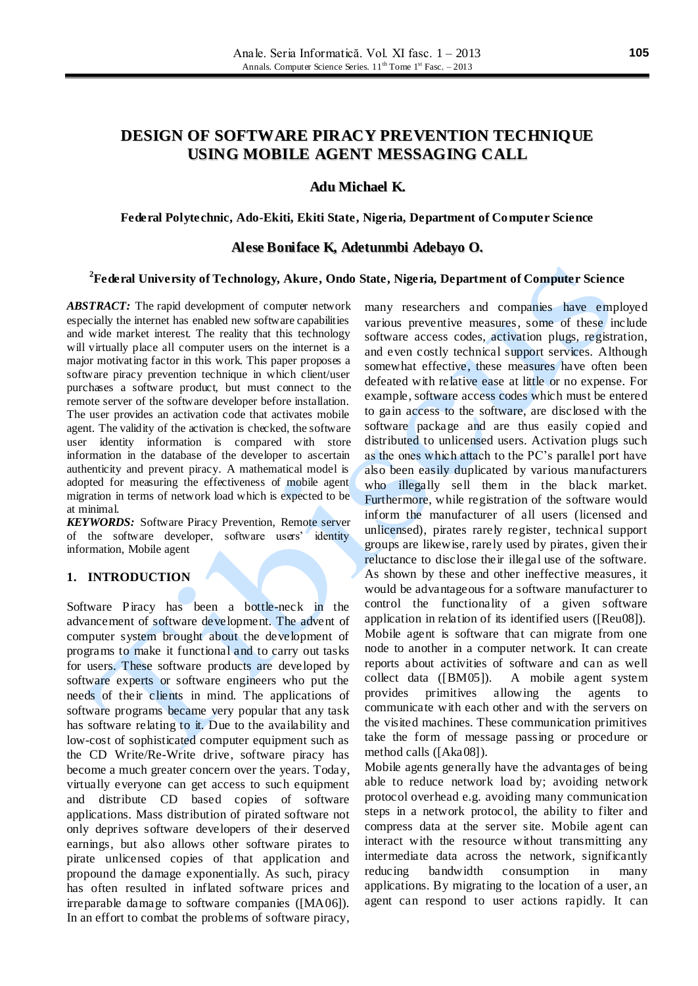# **DESIGN OF SOFTWARE PIRACY PREVENTION TECHNIQUE USING MOBILE AGENT MESSAGING CALL**

## **Adu Michael K.**

### **Federal Polytechnic, Ado-Ekiti, Ekiti State, Nigeria, Department of Computer Science**

### **Alese Boniface K, Adetunmbi Adebayo O.**

## **2 Federal University of Technology, Akure, Ondo State, Nigeria, Department of Computer Science**

*ABSTRACT:* The rapid development of computer network especially the internet has enabled new software capabilities and wide market interest. The reality that this technology will virtually place all computer users on the internet is a major motivating factor in this work. This paper proposes a software piracy prevention technique in which client/user purchases a software product, but must connect to the remote server of the software developer before installation. The user provides an activation code that activates mobile agent. The validity of the activation is checked, the software user identity information is compared with store information in the database of the developer to ascertain authenticity and prevent piracy. A mathematical model is adopted for measuring the effectiveness of mobile agent migration in terms of network load which is expected to be at minimal.

*KEYWORDS:* Software Piracy Prevention, Remote server of the software developer, software users' identity information, Mobile agent

## **1. INTRODUCTION**

Software Piracy has been a bottle-neck in the advancement of software development. The advent of computer system brought about the development of programs to make it functional and to carry out tasks for users. These software products are developed by software experts or software engineers who put the needs of their clients in mind. The applications of software programs became very popular that any task has software relating to it. Due to the availability and low-cost of sophisticated computer equipment such as the CD Write/Re-Write drive, software piracy has become a much greater concern over the years. Today, virtually everyone can get access to such equipment and distribute CD based copies of software applications. Mass distribution of pirated software not only deprives software developers of their deserved earnings, but also allows other software pirates to pirate unlicensed copies of that application and propound the damage exponentially. As such, piracy has often resulted in inflated software prices and irreparable damage to software companies ([MA06]). In an effort to combat the problems of software piracy, many researchers and companies have employed various preventive measures, some of these include software access codes, activation plugs, registration, and even costly technical support services. Although somewhat effective, these measures have often been defeated with relative ease at little or no expense. For example, software access codes which must be entered to gain access to the software, are disclosed with the software package and are thus easily copied and distributed to unlicensed users. Activation plugs such as the ones which attach to the PC's parallel port have also been easily duplicated by various manufacturers who illegally sell them in the black market. Furthermore, while registration of the software would inform the manufacturer of all users (licensed and unlicensed), pirates rarely register, technical support groups are likewise, rarely used by pirates, given their reluctance to disclose their illegal use of the software. As shown by these and other ineffective measures, it would be advantageous for a software manufacturer to control the functionality of a given software application in relation of its identified users ([Reu08]). Mobile agent is software that can migrate from one node to another in a computer network. It can create reports about activities of software and can as well collect data ([BM05]). A mobile agent system provides primitives allowing the agents to communicate with each other and with the servers on the visited machines. These communication primitives take the form of message passing or procedure or method calls ([Aka08]).

Mobile agents generally have the advantages of being able to reduce network load by; avoiding network protocol overhead e.g. avoiding many communication steps in a network protocol, the ability to filter and compress data at the server site. Mobile agent can interact with the resource without transmitting any intermediate data across the network, significantly reducing bandwidth consumption in many applications. By migrating to the location of a user, an agent can respond to user actions rapidly. It can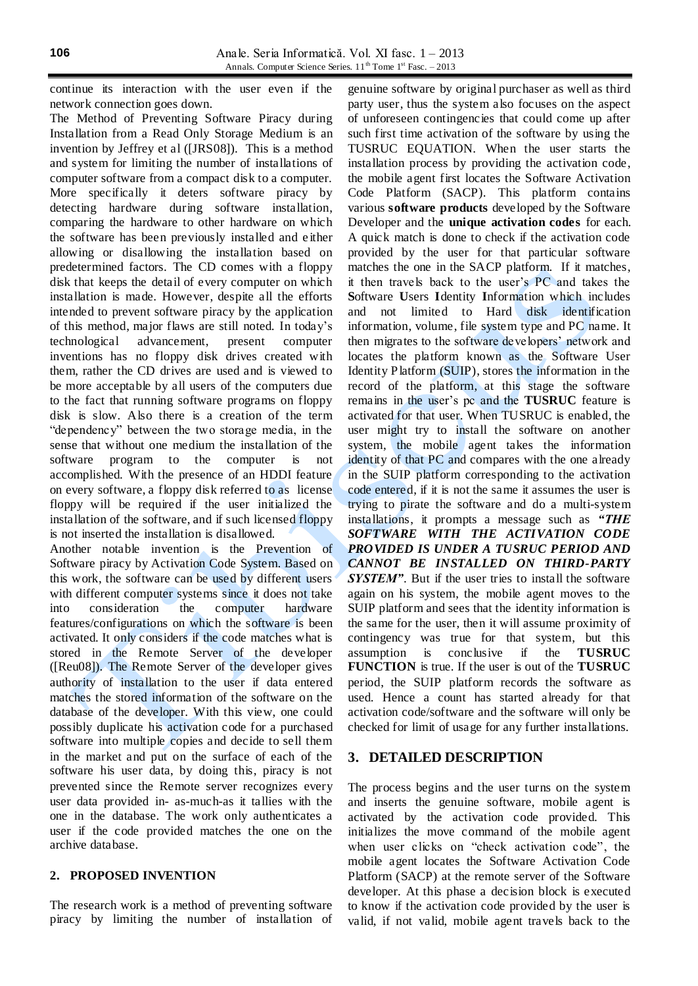continue its interaction with the user even if the network connection goes down.

The Method of Preventing Software Piracy during Installation from a Read Only Storage Medium is an invention by Jeffrey et al ([JRS08]). This is a method and system for limiting the number of installations of computer software from a compact disk to a computer. More specifically it deters software piracy by detecting hardware during software installation, comparing the hardware to other hardware on which the software has been previously installed and e ither allowing or disallowing the installation based on predetermined factors. The CD comes with a floppy disk that keeps the detail of every computer on which installation is made. However, despite all the efforts intended to prevent software piracy by the application of this method, major flaws are still noted. In today's technological advancement, present computer inventions has no floppy disk drives created with them, rather the CD drives are used and is viewed to be more acceptable by all users of the computers due to the fact that running software programs on floppy disk is slow. Also there is a creation of the term "dependency" between the two storage media, in the sense that without one medium the installation of the software program to the computer is not accomplished. With the presence of an HDDI feature on every software, a floppy disk referred to as license floppy will be required if the user initialized the installation of the software, and if such licensed floppy is not inserted the installation is disallowed.

Another notable invention is the Prevention of Software piracy by Activation Code System. Based on this work, the software can be used by different users with different computer systems since it does not take into consideration the computer hardware features/configurations on which the software is been activated. It only considers if the code matches what is stored in the Remote Server of the developer ([Reu08]). The Remote Server of the developer gives authority of installation to the user if data entered matches the stored information of the software on the database of the developer. With this view, one could possibly duplicate his activation code for a purchased software into multiple copies and decide to sell them in the market and put on the surface of each of the software his user data, by doing this, piracy is not prevented since the Remote server recognizes every user data provided in- as-much-as it tallies with the one in the database. The work only authenticates a user if the code provided matches the one on the archive database.

#### **2. PROPOSED INVENTION**

The research work is a method of preventing software piracy by limiting the number of installation of

genuine software by original purchaser as well as third party user, thus the system also focuses on the aspect of unforeseen contingencies that could come up after such first time activation of the software by using the TUSRUC EQUATION. When the user starts the installation process by providing the activation code, the mobile agent first locates the Software Activation Code Platform (SACP). This platform contains various **software products** developed by the Software Developer and the **unique activation codes** for each. A quick match is done to check if the activation code provided by the user for that particular software matches the one in the SACP platform. If it matches, it then travels back to the user's PC and takes the **S**oftware **U**sers **I**dentity **I**nformation which includes and not limited to Hard disk identification information, volume, file system type and PC name. It then migrates to the software developers' network and locates the platform known as the Software User Identity Platform (SUIP), stores the information in the record of the platform, at this stage the software remains in the user's pc and the **TUSRUC** feature is activated for that user. When TUSRUC is enabled, the user might try to install the software on another system, the mobile agent takes the information identity of that PC and compares with the one already in the SUIP platform corresponding to the activation code entered, if it is not the same it assumes the user is trying to pirate the software and do a multi-system installations, it prompts a message such as *"THE SOFTWARE WITH THE ACTIVATION CODE PROVIDED IS UNDER A TUSRUC PERIOD AND CANNOT BE INSTALLED ON THIRD-PARTY*  **SYSTEM"**. But if the user tries to install the software again on his system, the mobile agent moves to the SUIP platform and sees that the identity information is the same for the user, then it will assume proximity of contingency was true for that system, but this assumption is conclusive if the **TUSRUC FUNCTION** is true. If the user is out of the **TUSRUC** period, the SUIP platform records the software as used. Hence a count has started already for that activation code/software and the software will only be checked for limit of usage for any further installations.

### **3. DETAILED DESCRIPTION**

The process begins and the user turns on the system and inserts the genuine software, mobile agent is activated by the activation code provided. This initializes the move command of the mobile agent when user clicks on "check activation code", the mobile agent locates the Software Activation Code Platform (SACP) at the remote server of the Software developer. At this phase a decision block is executed to know if the activation code provided by the user is valid, if not valid, mobile agent travels back to the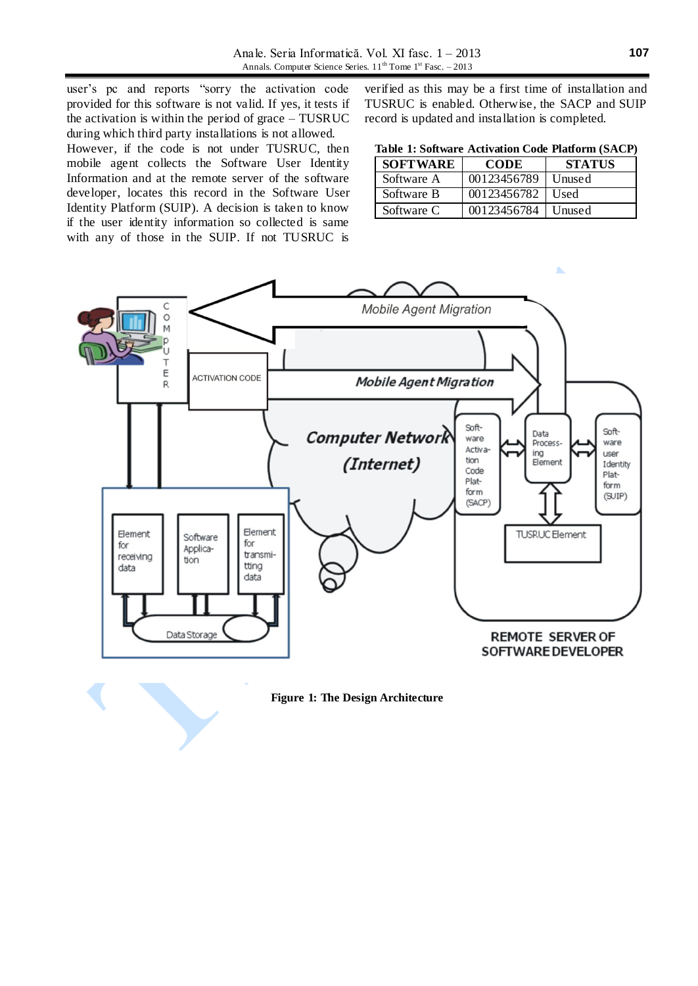user's pc and reports "sorry the activation code provided for this software is not valid. If yes, it tests if the activation is within the period of grace – TUSRUC during which third party installations is not allowed. However, if the code is not under TUSRUC, then mobile agent collects the Software User Identity Information and at the remote server of the software developer, locates this record in the Software User Identity Platform (SUIP). A decision is taken to know if the user identity information so collected is same with any of those in the SUIP. If not TUSRUC is

verified as this may be a first time of installation and TUSRUC is enabled. Otherwise, the SACP and SUIP record is updated and installation is completed.

| Table 1: Software Activation Code Platform (SACP) |  |  |  |
|---------------------------------------------------|--|--|--|
|---------------------------------------------------|--|--|--|

| <b>SOFTWARE</b> | <b>CODE</b> | <b>STATUS</b> |  |
|-----------------|-------------|---------------|--|
| Software A      | 00123456789 | Unused        |  |
| Software B      | 00123456782 | Used          |  |
| Software C      | 00123456784 | Unused        |  |



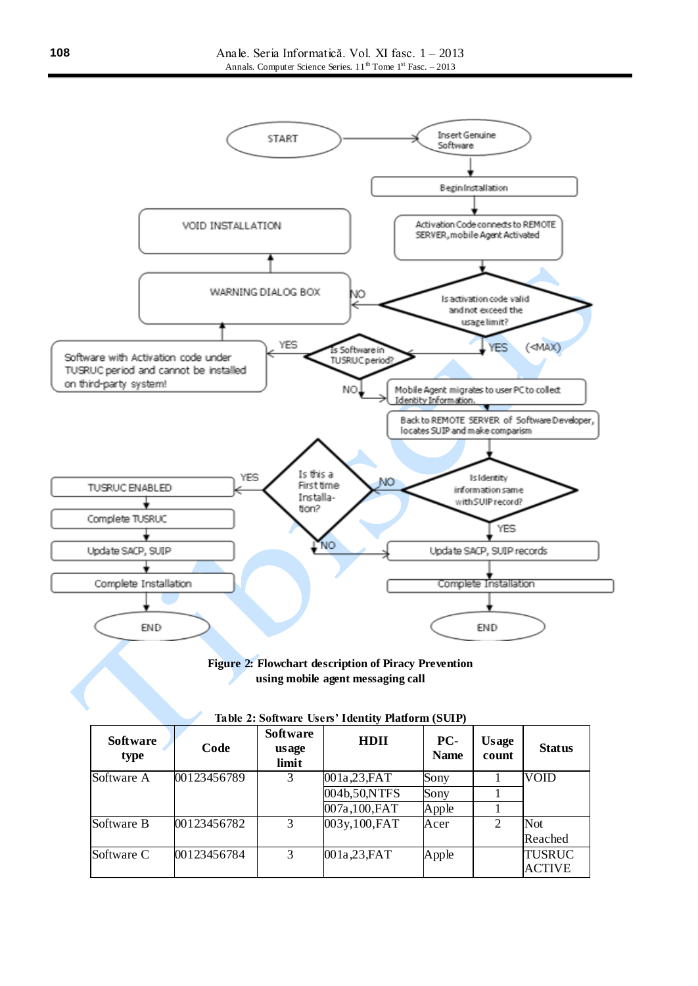

### **Figure 2: Flowchart description of Piracy Prevention using mobile agent messaging call**

| Table 2. Solemare esclis Tueller Flaubill (Self) |             |                                   |                |                    |                       |                                |  |  |  |
|--------------------------------------------------|-------------|-----------------------------------|----------------|--------------------|-----------------------|--------------------------------|--|--|--|
| Software<br>type                                 | Code        | <b>Software</b><br>usage<br>limit | <b>HDII</b>    | PC-<br><b>Name</b> | <b>Usage</b><br>count | <b>Status</b>                  |  |  |  |
| Software A                                       | 00123456789 | 3                                 | 001a,23,FAT    | Sony               |                       | VOID                           |  |  |  |
|                                                  |             |                                   | 004b,50,NTFS   | Sony               |                       |                                |  |  |  |
|                                                  |             |                                   | 007a,100,FAT   | Apple              |                       |                                |  |  |  |
| Software B                                       | 00123456782 | 3                                 | 003y, 100, FAT | Acer               | 2                     | <b>Not</b>                     |  |  |  |
|                                                  |             |                                   |                |                    |                       | Reached                        |  |  |  |
| Software C                                       | 00123456784 | 3                                 | 001a,23,FAT    | Apple              |                       | <b>TUSRUC</b><br><b>ACTIVE</b> |  |  |  |